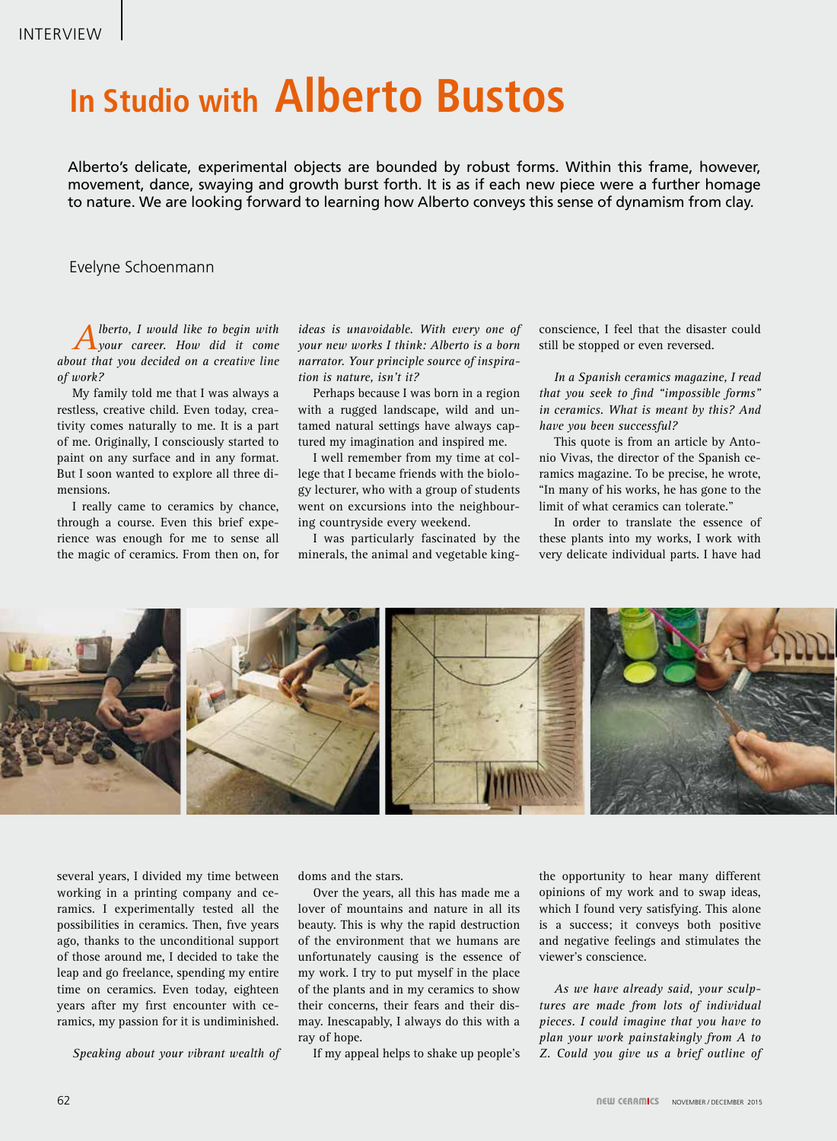## **In Studio with Alberto Bustos**

Alberto's delicate, experimental objects are bounded by robust forms. Within this frame, however, movement, dance, swaying and growth burst forth. It is as if each new piece were a further homage to nature. We are looking forward to learning how Alberto conveys this sense of dynamism from clay.

## Evelyne Schoenmann

*Alberto, I would like to begin with your career. How did it come about that you decided on a creative line of work?*

My family told me that I was always a restless, creative child. Even today, creativity comes naturally to me. It is a part of me. Originally, I consciously started to paint on any surface and in any format. But I soon wanted to explore all three dimensions.

I really came to ceramics by chance, through a course. Even this brief experience was enough for me to sense all the magic of ceramics. From then on, for

*ideas is unavoidable. With every one of your new works I think: Alberto is a born narrator. Your principle source of inspiration is nature, isn't it?*

Perhaps because I was born in a region with a rugged landscape, wild and untamed natural settings have always captured my imagination and inspired me.

I well remember from my time at college that I became friends with the biology lecturer, who with a group of students went on excursions into the neighbouring countryside every weekend.

I was particularly fascinated by the minerals, the animal and vegetable kingconscience, I feel that the disaster could still be stopped or even reversed.

*In a Spanish ceramics magazine, I read that you seek to find "impossible forms" in ceramics. What is meant by this? And have you been successful?*

This quote is from an article by Antonio Vivas, the director of the Spanish ceramics magazine. To be precise, he wrote, "In many of his works, he has gone to the limit of what ceramics can tolerate."

In order to translate the essence of these plants into my works, I work with very delicate individual parts. I have had



several years, I divided my time between working in a printing company and ceramics. I experimentally tested all the possibilities in ceramics. Then, five years ago, thanks to the unconditional support of those around me, I decided to take the leap and go freelance, spending my entire time on ceramics. Even today, eighteen years after my first encounter with ceramics, my passion for it is undiminished.

*Speaking about your vibrant wealth of* 

doms and the stars.

Over the years, all this has made me a lover of mountains and nature in all its beauty. This is why the rapid destruction of the environment that we humans are unfortunately causing is the essence of my work. I try to put myself in the place of the plants and in my ceramics to show their concerns, their fears and their dismay. Inescapably, I always do this with a ray of hope.

If my appeal helps to shake up people's

the opportunity to hear many different opinions of my work and to swap ideas, which I found very satisfying. This alone is a success; it conveys both positive and negative feelings and stimulates the viewer's conscience.

*As we have already said, your sculptures are made from lots of individual pieces. I could imagine that you have to plan your work painstakingly from A to Z. Could you give us a brief outline of*